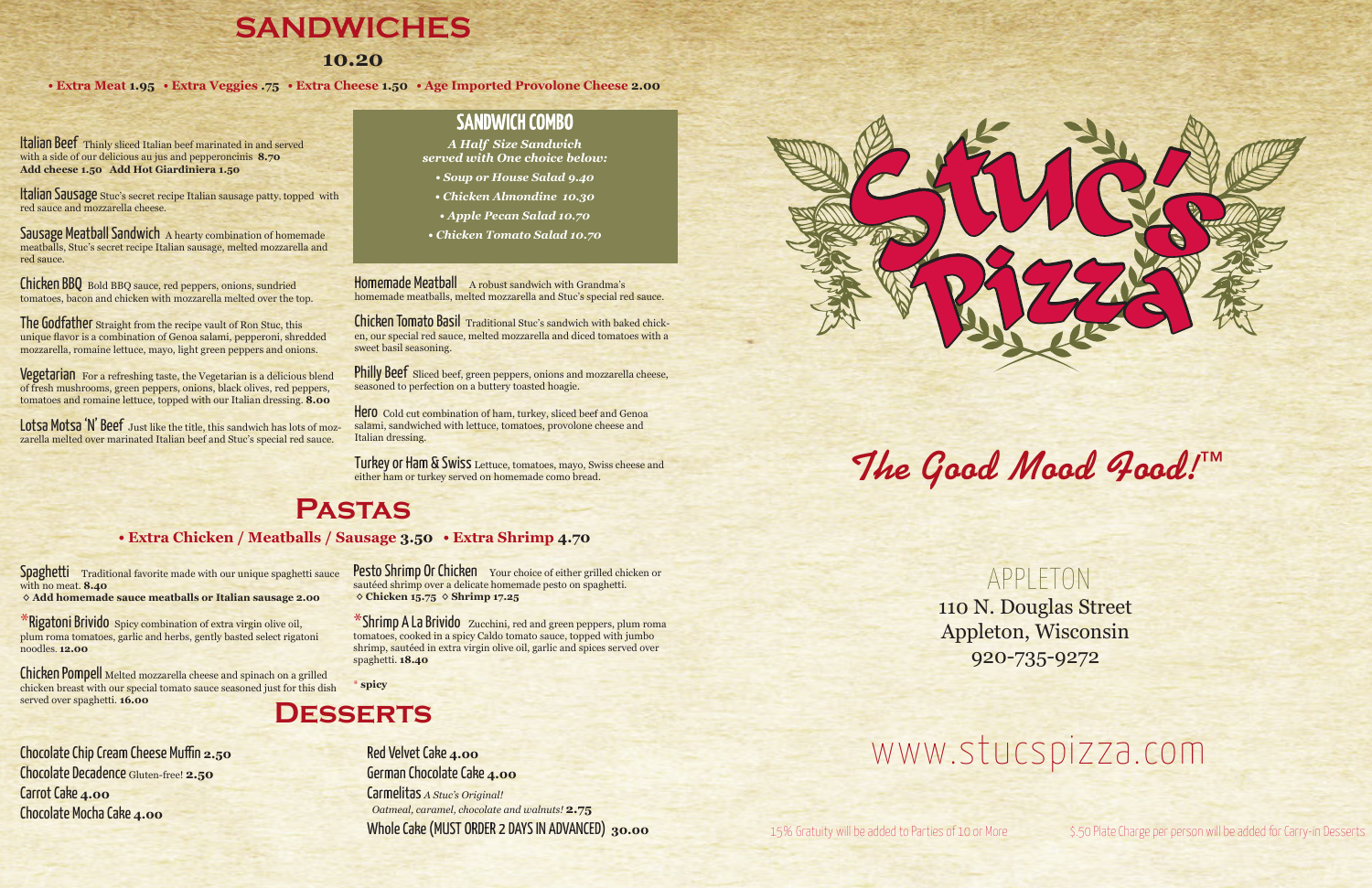15% Gratuity will be added to Parties of 10 or More \$.50 Plate Charge per person will be added for Carry-in Desserts

**The Good Mood Food!™**

APPLETON 110 N. Douglas Street Appleton, Wisconsin 920-735-9272

# www.stucspizza.com

# **SANDWICHES**

### **10.20**

*•* **Extra Meat 1.95** *•* **Extra Veggies .75** *•* **Extra Cheese 1.50** *•* **Age Imported Provolone Cheese 2.00** 

Italian Sausage Stuc's secret recipe Italian sausage patty, topped with red sauce and mozzarella cheese.

Sausage Meatball Sandwich A hearty combination of homemade meatballs, Stuc's secret recipe Italian sausage, melted mozzarella and red sauce.

Italian Beef Thinly sliced Italian beef marinated in and served with a side of our delicious au jus and pepperoncinis **8.70 Add cheese 1.50 Add Hot Giardiniera 1.50**

The Godfather Straight from the recipe vault of Ron Stuc, this unique flavor is a combination of Genoa salami, pepperoni, shredded mozzarella, romaine lettuce, mayo, light green peppers and onions.

**Vegetarian** For a refreshing taste, the Vegetarian is a delicious blend of fresh mushrooms, green peppers, onions, black olives, red peppers, tomatoes and romaine lettuce, topped with our Italian dressing. **8.00**

Lotsa Motsa 'N' Beef Just like the title, this sandwich has lots of mozzarella melted over marinated Italian beef and Stuc's special red sauce.

### **SANDWICH COMBO**

Chicken BBQ Bold BBQ sauce, red peppers, onions, sundried tomatoes, bacon and chicken with mozzarella melted over the top. Homemade Meatball A robust sandwich with Grandma's homemade meatballs, melted mozzarella and Stuc's special red sauce.

Philly Beef Sliced beef, green peppers, onions and mozzarella cheese, seasoned to perfection on a buttery toasted hoagie.

Hero Cold cut combination of ham, turkey, sliced beef and Genoa salami, sandwiched with lettuce, tomatoes, provolone cheese and Italian dressing.

Spaghetti Traditional favorite made with our unique spaghetti sauce with no meat. **8.40 ◊ Add homemade sauce meatballs or Italian sausage 2.00**

\*Rigatoni Brivido Spicy combination of extra virgin olive oil, plum roma tomatoes, garlic and herbs, gently basted select rigatoni noodles. **12.00**

# **Pastas**

#### *•* **Extra Chicken / Meatballs / Sausage 3.50** *•* **Extra Shrimp 4.70**

#### Pesto Shrimp Or Chicken Your choice of either grilled chicken or sautéed shrimp over a delicate homemade pesto on spaghetti.  **◊ Chicken 15.75 ◊ Shrimp 17.25**

### **Desserts**

*A Half Size Sandwich served with One choice below:*

- *Soup or House Salad 9.40*
- *Chicken Almondine 10.30*
- *Apple Pecan Salad 10.70*
- *Chicken Tomato Salad 10.70*

Chicken Tomato Basil Traditional Stuc's sandwich with baked chicken, our special red sauce, melted mozzarella and diced tomatoes with a sweet basil seasoning.

Turkey or Ham & Swiss Lettuce, tomatoes, mayo, Swiss cheese and either ham or turkey served on homemade como bread.

Chicken Pompell Melted mozzarella cheese and spinach on a grilled chicken breast with our special tomato sauce seasoned just for this dish served over spaghetti. **16.00**

\*Shrimp A La Brivido Zucchini, red and green peppers, plum roma tomatoes, cooked in a spicy Caldo tomato sauce, topped with jumbo shrimp, sautéed in extra virgin olive oil, garlic and spices served over spaghetti. **18.40**

\* **spicy**

Chocolate Chip Cream Cheese Muffin **2.50** Chocolate Decadence Gluten-free! **2.50** Carrot Cake **4.00** Chocolate Mocha Cake **4.00**

Red Velvet Cake **4.00** German Chocolate Cake **4.00** Carmelitas *A Stuc's Original! Oatmeal, caramel, chocolate and walnuts!* **2.75** Whole Cake (MUST ORDER 2 DAYS IN ADVANCED) **30.00**